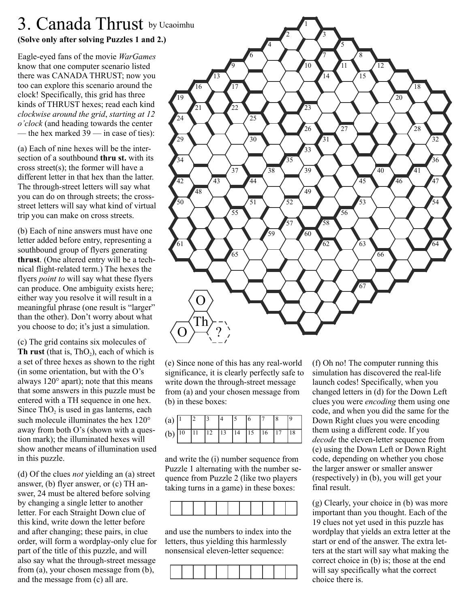# **(Solve only after solving Puzzles 1 and 2.)** 3. Canada Thrust by Ucaoimhu

Eagle-eyed fans of the movie *WarGames* know that one computer scenario listed there was CANADA THRUST; now you too can explore this scenario around the clock! Specifically, this grid has three kinds of THRUST hexes; read each kind *clockwise around the grid*, *starting at 12 o'clock* (and heading towards the center — the hex marked  $39$  — in case of ties):

(a) Each of nine hexes will be the intersection of a southbound **thru st.** with its cross street(s); the former will have a different letter in that hex than the latter. The through-street letters will say what you can do on through streets; the crossstreet letters will say what kind of virtual trip you can make on cross streets.

(b) Each of nine answers must have one letter added before entry, representing a southbound group of flyers generating **thrust**. (One altered entry will be a technical flight-related term.) The hexes the flyers *point to* will say what these flyers can produce. One ambiguity exists here; either way you resolve it will result in a meaningful phrase (one result is "larger" than the other). Don't worry about what you choose to do; it's just a simulation.

(c) The grid contains six molecules of **Th rust** (that is,  $ThO<sub>2</sub>$ ), each of which is a set of three hexes as shown to the right (in some orientation, but with the O's always 120° apart); note that this means that some answers in this puzzle must be entered with a TH sequence in one hex. Since ThO<sub>2</sub> is used in gas lanterns, each such molecule illuminates the hex 120° away from both O's (shown with a question mark); the illuminated hexes will show another means of illumination used in this puzzle.

(d) Of the clues *not* yielding an (a) street answer, (b) flyer answer, or (c) TH answer, 24 must be altered before solving by changing a single letter to another letter. For each Straight Down clue of this kind, write down the letter before and after changing; these pairs, in clue order, will form a wordplay-only clue for part of the title of this puzzle, and will also say what the through-street message from (a), your chosen message from (b), and the message from (c) all are.



(e) Since none of this has any real-world significance, it is clearly perfectly safe to write down the through-street message from (a) and your chosen message from (b) in these boxes:

| (a)   $\vert$                                                                                               |  |  |  |  |    |
|-------------------------------------------------------------------------------------------------------------|--|--|--|--|----|
| (b) $\boxed{10}$ $\boxed{11}$ $\boxed{12}$ $\boxed{13}$ $\boxed{14}$ $\boxed{15}$ $\boxed{16}$ $\boxed{17}$ |  |  |  |  | 18 |

and write the (i) number sequence from Puzzle 1 alternating with the number sequence from Puzzle 2 (like two players taking turns in a game) in these boxes:



and use the numbers to index into the letters, thus yielding this harmlessly nonsensical eleven-letter sequence:



(f) Oh no! The computer running this simulation has discovered the real-life launch codes! Specifically, when you changed letters in (d) for the Down Left clues you were *encoding* them using one code, and when you did the same for the Down Right clues you were encoding them using a different code. If you *decode* the eleven-letter sequence from (e) using the Down Left or Down Right code, depending on whether you chose the larger answer or smaller answer (respectively) in (b), you will get your final result.

 (g) Clearly, your choice in (b) was more important than you thought. Each of the 19 clues not yet used in this puzzle has wordplay that yields an extra letter at the start or end of the answer. The extra letters at the start will say what making the correct choice in (b) is; those at the end will say specifically what the correct choice there is.